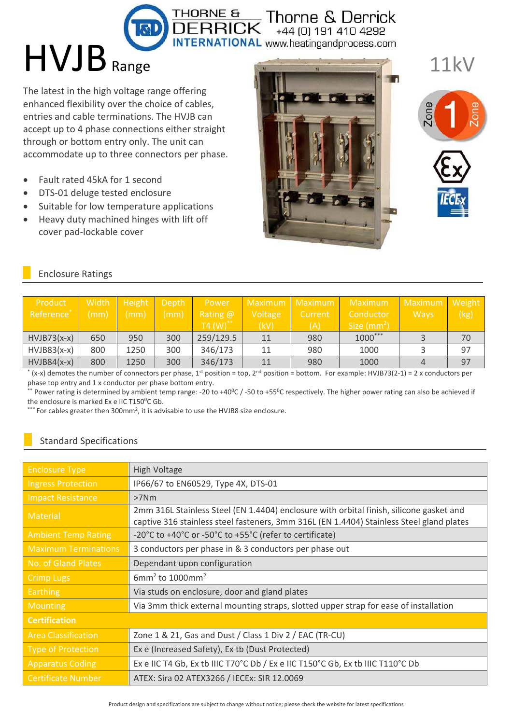+44 (0) 191 410 4292 **INTERNATIONAL** www.heatingandprocess.com

 $T<sub>HORNE</sub>$  & Derrick

# $HVIB_{Range}$

The latest in the high voltage range offering enhanced flexibility over the choice of cables, entries and cable terminations. The HVJB can accept up to 4 phase connections either straight through or bottom entry only. The unit can accommodate up to three connectors per phase.

- Fault rated 45kA for 1 second  $\bullet$
- DTS-01 deluge tested enclosure  $\bullet$
- Suitable for low temperature applications  $\bullet$
- Heavy duty machined hinges with lift off  $\bullet$ cover pad-lockable cover







### **Enclosure Ratings**

| Product<br>Reference <sup>*</sup> | Width<br>(mm) | Height<br>(mm) | Depth<br>(mm) | Power<br>Rating @<br>$T4 (W)$ ** | Maximum Maximum<br>Voltage<br>(kV) | ' Current<br>(A) | Maximum<br>Conductor<br>Size $(mm^2)$ | Maximum Weight<br><b>Wavs</b> | (kg) |
|-----------------------------------|---------------|----------------|---------------|----------------------------------|------------------------------------|------------------|---------------------------------------|-------------------------------|------|
| $HVIB73(x-x)$                     | 650           | 950            | 300           | 259/129.5                        | 11                                 | 980              | $1000***$                             |                               | 70   |
| $HVIB83(x-x)$                     | 800           | 1250           | 300           | 346/173                          | 11                                 | 980              | 1000                                  |                               | 97   |
| $HVIB84(x-x)$                     | 800           | 1250           | 300           | 346/173                          | 11                                 | 980              | 1000                                  |                               | 97   |

(x-x) demotes the number of connectors per phase, 1<sup>st</sup> position = top, 2<sup>nd</sup> position = bottom. For example: HVJB73(2-1) = 2 x conductors per phase top entry and 1 x conductor per phase bottom entry.

\* Power rating is determined by ambient temp range: -20 to +40 $^{\circ}$ C /-50 to +55 $^{\circ}$ C respectively. The higher power rating can also be achieved if the enclosure is marked Ex e IIC T150°C Gb.

\*\*\* For cables greater then 300mm<sup>2</sup>, it is advisable to use the HVJB8 size enclosure.

## **Standard Specifications**

| <b>Enclosure Type</b>       | <b>High Voltage</b>                                                                                                                                                                 |  |  |
|-----------------------------|-------------------------------------------------------------------------------------------------------------------------------------------------------------------------------------|--|--|
| <b>Ingress Protection</b>   | IP66/67 to EN60529, Type 4X, DTS-01                                                                                                                                                 |  |  |
| <b>Impact Resistance</b>    | $>7$ Nm                                                                                                                                                                             |  |  |
| <b>Material</b>             | 2mm 316L Stainless Steel (EN 1.4404) enclosure with orbital finish, silicone gasket and<br>captive 316 stainless steel fasteners, 3mm 316L (EN 1.4404) Stainless Steel gland plates |  |  |
| <b>Ambient Temp Rating</b>  | -20°C to +40°C or -50°C to +55°C (refer to certificate)                                                                                                                             |  |  |
| <b>Maximum Terminations</b> | 3 conductors per phase in & 3 conductors per phase out                                                                                                                              |  |  |
| No. of Gland Plates         | Dependant upon configuration                                                                                                                                                        |  |  |
| <b>Crimp Lugs</b>           | $6$ mm <sup>2</sup> to 1000mm <sup>2</sup>                                                                                                                                          |  |  |
| <b>Earthing</b>             | Via studs on enclosure, door and gland plates                                                                                                                                       |  |  |
| <b>Mounting</b>             | Via 3mm thick external mounting straps, slotted upper strap for ease of installation                                                                                                |  |  |
| <b>Certification</b>        |                                                                                                                                                                                     |  |  |
| <b>Area Classification</b>  | Zone 1 & 21, Gas and Dust / Class 1 Div 2 / EAC (TR-CU)                                                                                                                             |  |  |
| <b>Type of Protection</b>   | Ex e (Increased Safety), Ex tb (Dust Protected)                                                                                                                                     |  |  |
| <b>Apparatus Coding</b>     | Ex e IIC T4 Gb, Ex tb IIIC T70°C Db / Ex e IIC T150°C Gb, Ex tb IIIC T110°C Db                                                                                                      |  |  |
| <b>Certificate Number</b>   | ATEX: Sira 02 ATEX3266 / IECEx: SIR 12.0069                                                                                                                                         |  |  |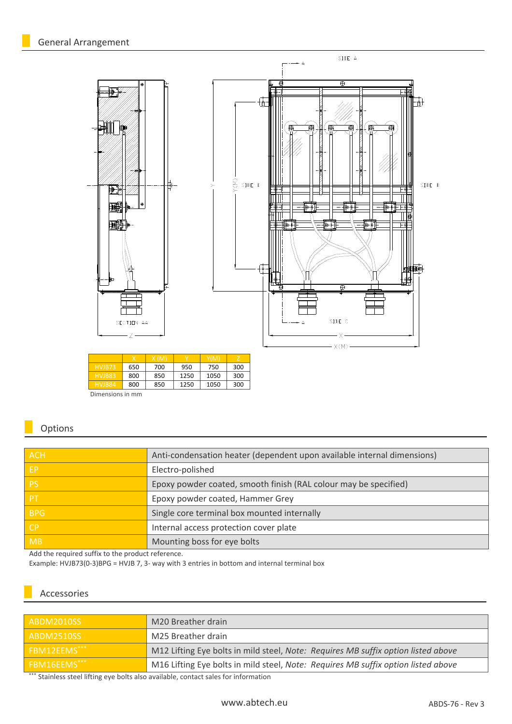

| HVJB73           | 650 | 700 | 950  | 750  | 300 |
|------------------|-----|-----|------|------|-----|
| HVJB83           | 800 | 850 | 1250 | 1050 | 300 |
| HVJB84           | 800 | 850 | 1250 | 1050 | 300 |
| Dimensions in mm |     |     |      |      |     |

### Options

| <b>ACH</b> | Anti-condensation heater (dependent upon available internal dimensions) |
|------------|-------------------------------------------------------------------------|
| EP         | Electro-polished                                                        |
| <b>PS</b>  | Epoxy powder coated, smooth finish (RAL colour may be specified)        |
| <b>PT</b>  | Epoxy powder coated, Hammer Grey                                        |
| <b>BPG</b> | Single core terminal box mounted internally                             |
| l CP.      | Internal access protection cover plate                                  |
| <b>MB</b>  | Mounting boss for eye bolts                                             |
|            |                                                                         |

Add the required suffix to the product reference.

Example: HVJB73(0-3)BPG = HVJB 7, 3- way with 3 entries in bottom and internal terminal box

#### Accessories

| ABDM2010SS                                                                                                                                                            | M20 Breather drain                                                                |
|-----------------------------------------------------------------------------------------------------------------------------------------------------------------------|-----------------------------------------------------------------------------------|
| ABDM2510SS                                                                                                                                                            | M25 Breather drain                                                                |
| FBM12EEMS***                                                                                                                                                          | M12 Lifting Eye bolts in mild steel, Note: Requires MB suffix option listed above |
| FBM16EEMS***                                                                                                                                                          | M16 Lifting Eye bolts in mild steel, Note: Requires MB suffix option listed above |
| $x \times x$ and $x \times y$ and $x \times y$ and $x \times y$ and $x \times y$ and $x \times y$ and $x \times y$ and $x \times y$ and $x \times y$ and $x \times y$ |                                                                                   |

Stainless steel lifting eye bolts also available, contact sales for information